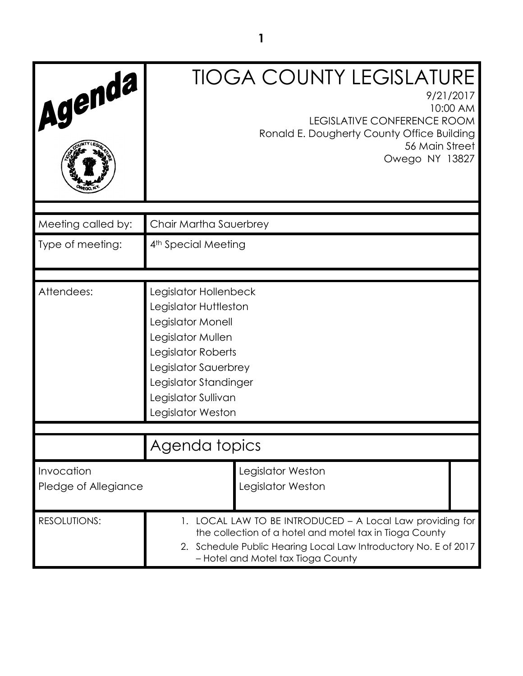| Agenda                             |                                                                                                                                                                                                                               | <b>TIOGA COUNTY LEGISLATURE</b><br>9/21/2017<br>10:00 AM<br>LEGISLATIVE CONFERENCE ROOM<br>Ronald E. Dougherty County Office Building<br>56 Main Street<br>Owego NY 13827 |  |
|------------------------------------|-------------------------------------------------------------------------------------------------------------------------------------------------------------------------------------------------------------------------------|---------------------------------------------------------------------------------------------------------------------------------------------------------------------------|--|
| Meeting called by:                 | Chair Martha Sauerbrey                                                                                                                                                                                                        |                                                                                                                                                                           |  |
| Type of meeting:                   | 4 <sup>th</sup> Special Meeting                                                                                                                                                                                               |                                                                                                                                                                           |  |
|                                    |                                                                                                                                                                                                                               |                                                                                                                                                                           |  |
| Attendees:                         | Legislator Hollenbeck<br>Legislator Huttleston<br>Legislator Monell<br>Legislator Mullen<br>Legislator Roberts<br>Legislator Sauerbrey<br>Legislator Standinger<br>Legislator Sullivan<br>Legislator Weston                   |                                                                                                                                                                           |  |
|                                    |                                                                                                                                                                                                                               |                                                                                                                                                                           |  |
|                                    | Agenda topics                                                                                                                                                                                                                 |                                                                                                                                                                           |  |
| Invocation<br>Pledge of Allegiance |                                                                                                                                                                                                                               | Legislator Weston<br>Legislator Weston                                                                                                                                    |  |
| <b>RESOLUTIONS:</b>                | 1. LOCAL LAW TO BE INTRODUCED - A Local Law providing for<br>the collection of a hotel and motel tax in Tioga County<br>2. Schedule Public Hearing Local Law Introductory No. E of 2017<br>- Hotel and Motel tax Tioga County |                                                                                                                                                                           |  |

**1**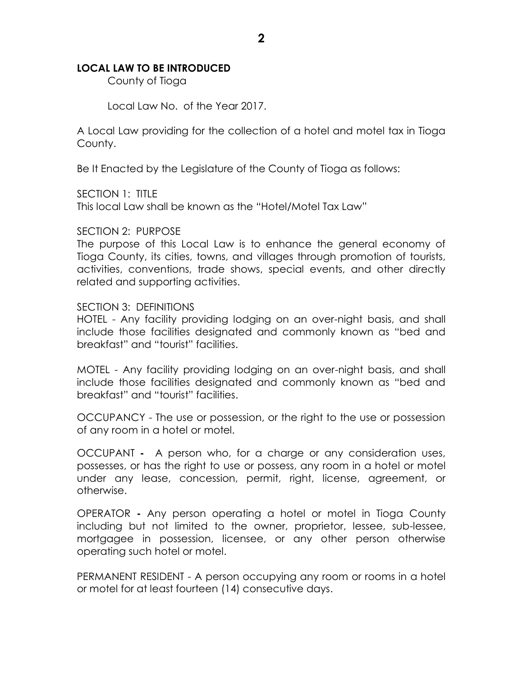### **LOCAL LAW TO BE INTRODUCED**

County of Tioga

Local Law No. of the Year 2017.

A Local Law providing for the collection of a hotel and motel tax in Tioga County.

Be It Enacted by the Legislature of the County of Tioga as follows:

SECTION 1: TITLE

This local Law shall be known as the "Hotel/Motel Tax Law"

#### SECTION 2: PURPOSE

The purpose of this Local Law is to enhance the general economy of Tioga County, its cities, towns, and villages through promotion of tourists, activities, conventions, trade shows, special events, and other directly related and supporting activities.

#### SECTION 3: DEFINITIONS

HOTEL - Any facility providing lodging on an over-night basis, and shall include those facilities designated and commonly known as "bed and breakfast" and "tourist" facilities.

MOTEL - Any facility providing lodging on an over-night basis, and shall include those facilities designated and commonly known as "bed and breakfast" and "tourist" facilities.

OCCUPANCY - The use or possession, or the right to the use or possession of any room in a hotel or motel.

OCCUPANT **-** A person who, for a charge or any consideration uses, possesses, or has the right to use or possess, any room in a hotel or motel under any lease, concession, permit, right, license, agreement, or otherwise.

OPERATOR **-** Any person operating a hotel or motel in Tioga County including but not limited to the owner, proprietor, lessee, sub-lessee, mortgagee in possession, licensee, or any other person otherwise operating such hotel or motel.

PERMANENT RESIDENT - A person occupying any room or rooms in a hotel or motel for at least fourteen (14) consecutive days.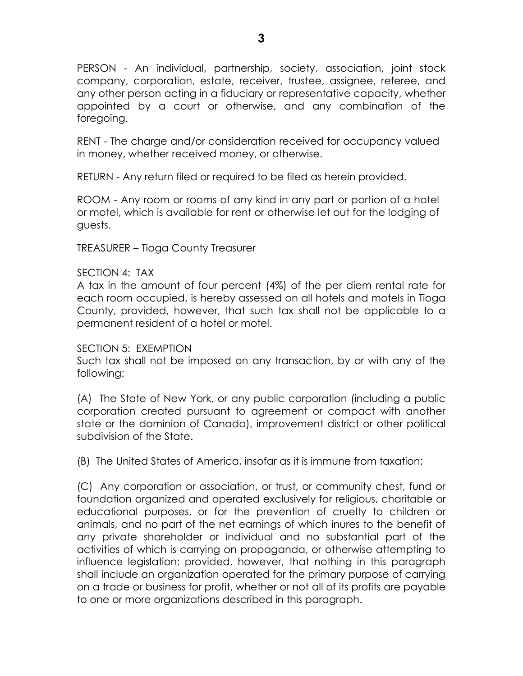PERSON - An individual, partnership, society, association, joint stock company, corporation, estate, receiver, trustee, assignee, referee, and any other person acting in a fiduciary or representative capacity, whether appointed by a court or otherwise, and any combination of the foregoing.

RENT - The charge and/or consideration received for occupancy valued in money, whether received money, or otherwise.

RETURN - Any return filed or required to be filed as herein provided.

ROOM - Any room or rooms of any kind in any part or portion of a hotel or motel, which is available for rent or otherwise let out for the lodging of guests.

TREASURER – Tioga County Treasurer

## SECTION 4: TAX

A tax in the amount of four percent (4%) of the per diem rental rate for each room occupied, is hereby assessed on all hotels and motels in Tioga County, provided, however, that such tax shall not be applicable to a permanent resident of a hotel or motel.

### SECTION 5: EXEMPTION

Such tax shall not be imposed on any transaction, by or with any of the following:

(A) The State of New York, or any public corporation (including a public corporation created pursuant to agreement or compact with another state or the dominion of Canada), improvement district or other political subdivision of the State.

(B) The United States of America, insofar as it is immune from taxation;

(C) Any corporation or association, or trust, or community chest, fund or foundation organized and operated exclusively for religious, charitable or educational purposes, or for the prevention of cruelty to children or animals, and no part of the net earnings of which inures to the benefit of any private shareholder or individual and no substantial part of the activities of which is carrying on propaganda, or otherwise attempting to influence legislation; provided, however, that nothing in this paragraph shall include an organization operated for the primary purpose of carrying on a trade or business for profit, whether or not all of its profits are payable to one or more organizations described in this paragraph.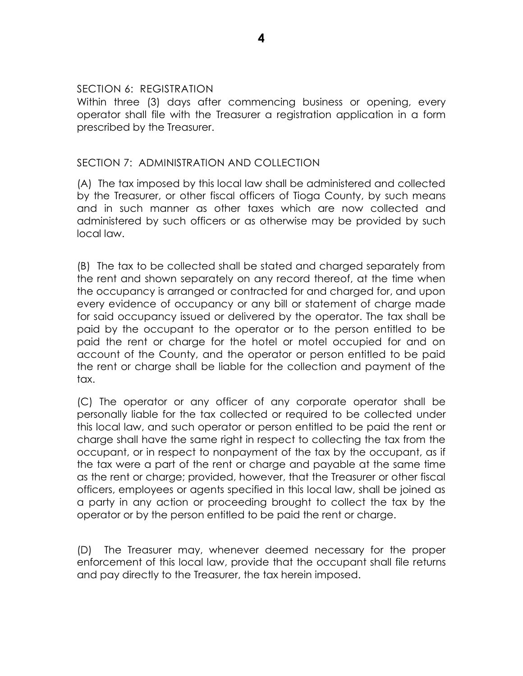#### SECTION 6: REGISTRATION

Within three (3) days after commencing business or opening, every operator shall file with the Treasurer a registration application in a form prescribed by the Treasurer.

## SECTION 7: ADMINISTRATION AND COLLECTION

(A) The tax imposed by this local law shall be administered and collected by the Treasurer, or other fiscal officers of Tioga County, by such means and in such manner as other taxes which are now collected and administered by such officers or as otherwise may be provided by such local law.

(B) The tax to be collected shall be stated and charged separately from the rent and shown separately on any record thereof, at the time when the occupancy is arranged or contracted for and charged for, and upon every evidence of occupancy or any bill or statement of charge made for said occupancy issued or delivered by the operator. The tax shall be paid by the occupant to the operator or to the person entitled to be paid the rent or charge for the hotel or motel occupied for and on account of the County, and the operator or person entitled to be paid the rent or charge shall be liable for the collection and payment of the tax.

(C) The operator or any officer of any corporate operator shall be personally liable for the tax collected or required to be collected under this local law, and such operator or person entitled to be paid the rent or charge shall have the same right in respect to collecting the tax from the occupant, or in respect to nonpayment of the tax by the occupant, as if the tax were a part of the rent or charge and payable at the same time as the rent or charge; provided, however, that the Treasurer or other fiscal officers, employees or agents specified in this local law, shall be joined as a party in any action or proceeding brought to collect the tax by the operator or by the person entitled to be paid the rent or charge.

(D) The Treasurer may, whenever deemed necessary for the proper enforcement of this local law, provide that the occupant shall file returns and pay directly to the Treasurer, the tax herein imposed.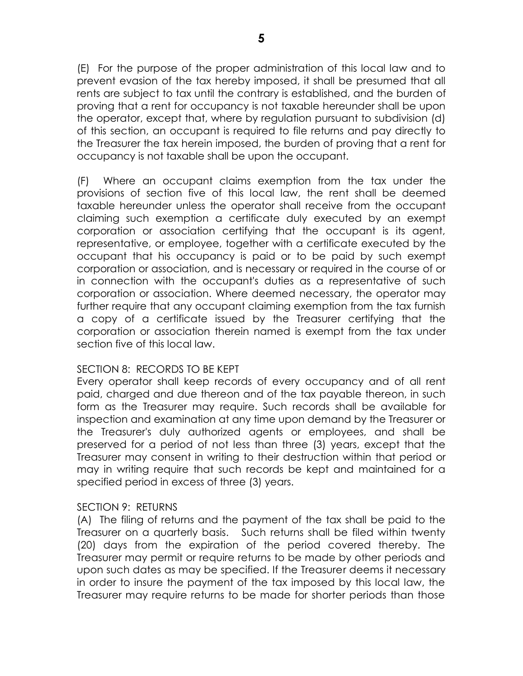(E) For the purpose of the proper administration of this local law and to prevent evasion of the tax hereby imposed, it shall be presumed that all rents are subject to tax until the contrary is established, and the burden of proving that a rent for occupancy is not taxable hereunder shall be upon the operator, except that, where by regulation pursuant to subdivision (d) of this section, an occupant is required to file returns and pay directly to the Treasurer the tax herein imposed, the burden of proving that a rent for occupancy is not taxable shall be upon the occupant.

(F) Where an occupant claims exemption from the tax under the provisions of section five of this local law, the rent shall be deemed taxable hereunder unless the operator shall receive from the occupant claiming such exemption a certificate duly executed by an exempt corporation or association certifying that the occupant is its agent, representative, or employee, together with a certificate executed by the occupant that his occupancy is paid or to be paid by such exempt corporation or association, and is necessary or required in the course of or in connection with the occupant's duties as a representative of such corporation or association. Where deemed necessary, the operator may further require that any occupant claiming exemption from the tax furnish a copy of a certificate issued by the Treasurer certifying that the corporation or association therein named is exempt from the tax under section five of this local law.

# SECTION 8: RECORDS TO BE KEPT

Every operator shall keep records of every occupancy and of all rent paid, charged and due thereon and of the tax payable thereon, in such form as the Treasurer may require. Such records shall be available for inspection and examination at any time upon demand by the Treasurer or the Treasurer's duly authorized agents or employees, and shall be preserved for a period of not less than three (3) years, except that the Treasurer may consent in writing to their destruction within that period or may in writing require that such records be kept and maintained for a specified period in excess of three (3) years.

# SECTION 9: RETURNS

(A) The filing of returns and the payment of the tax shall be paid to the Treasurer on a quarterly basis. Such returns shall be filed within twenty (20) days from the expiration of the period covered thereby. The Treasurer may permit or require returns to be made by other periods and upon such dates as may be specified. If the Treasurer deems it necessary in order to insure the payment of the tax imposed by this local law, the Treasurer may require returns to be made for shorter periods than those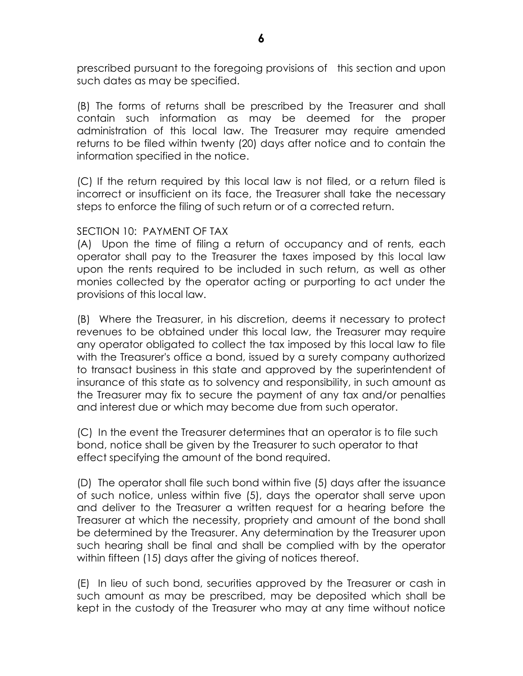prescribed pursuant to the foregoing provisions of this section and upon such dates as may be specified.

(B) The forms of returns shall be prescribed by the Treasurer and shall contain such information as may be deemed for the proper administration of this local law. The Treasurer may require amended returns to be filed within twenty (20) days after notice and to contain the information specified in the notice.

(C) If the return required by this local law is not filed, or a return filed is incorrect or insufficient on its face, the Treasurer shall take the necessary steps to enforce the filing of such return or of a corrected return.

## SECTION 10: PAYMENT OF TAX

(A) Upon the time of filing a return of occupancy and of rents, each operator shall pay to the Treasurer the taxes imposed by this local law upon the rents required to be included in such return, as well as other monies collected by the operator acting or purporting to act under the provisions of this local law.

(B) Where the Treasurer, in his discretion, deems it necessary to protect revenues to be obtained under this local law, the Treasurer may require any operator obligated to collect the tax imposed by this local law to file with the Treasurer's office a bond, issued by a surety company authorized to transact business in this state and approved by the superintendent of insurance of this state as to solvency and responsibility, in such amount as the Treasurer may fix to secure the payment of any tax and/or penalties and interest due or which may become due from such operator.

(C) In the event the Treasurer determines that an operator is to file such bond, notice shall be given by the Treasurer to such operator to that effect specifying the amount of the bond required.

(D) The operator shall file such bond within five (5) days after the issuance of such notice, unless within five (5), days the operator shall serve upon and deliver to the Treasurer a written request for a hearing before the Treasurer at which the necessity, propriety and amount of the bond shall be determined by the Treasurer. Any determination by the Treasurer upon such hearing shall be final and shall be complied with by the operator within fifteen (15) days after the giving of notices thereof.

(E) In lieu of such bond, securities approved by the Treasurer or cash in such amount as may be prescribed, may be deposited which shall be kept in the custody of the Treasurer who may at any time without notice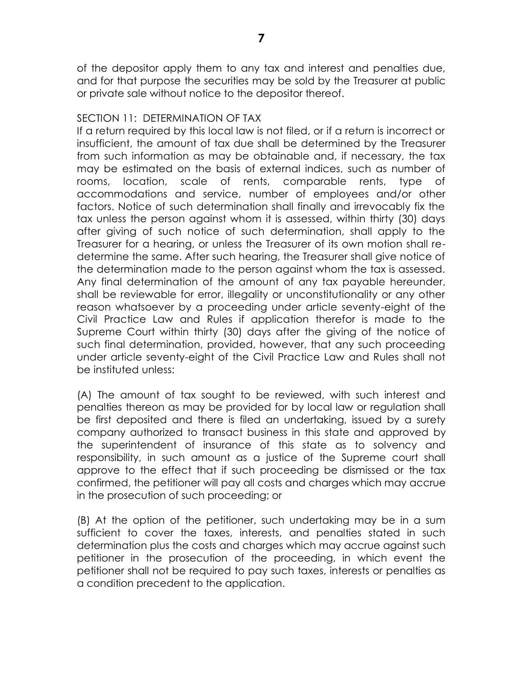of the depositor apply them to any tax and interest and penalties due, and for that purpose the securities may be sold by the Treasurer at public or private sale without notice to the depositor thereof.

# SECTION 11: DETERMINATION OF TAX

If a return required by this local law is not filed, or if a return is incorrect or insufficient, the amount of tax due shall be determined by the Treasurer from such information as may be obtainable and, if necessary, the tax may be estimated on the basis of external indices, such as number of rooms, location, scale of rents, comparable rents, type of accommodations and service, number of employees and/or other factors. Notice of such determination shall finally and irrevocably fix the tax unless the person against whom it is assessed, within thirty (30) days after giving of such notice of such determination, shall apply to the Treasurer for a hearing, or unless the Treasurer of its own motion shall redetermine the same. After such hearing, the Treasurer shall give notice of the determination made to the person against whom the tax is assessed. Any final determination of the amount of any tax payable hereunder, shall be reviewable for error, illegality or unconstitutionality or any other reason whatsoever by a proceeding under article seventy-eight of the Civil Practice Law and Rules if application therefor is made to the Supreme Court within thirty (30) days after the giving of the notice of such final determination, provided, however, that any such proceeding under article seventy-eight of the Civil Practice Law and Rules shall not be instituted unless:

(A) The amount of tax sought to be reviewed, with such interest and penalties thereon as may be provided for by local law or regulation shall be first deposited and there is filed an undertaking, issued by a surety company authorized to transact business in this state and approved by the superintendent of insurance of this state as to solvency and responsibility, in such amount as a justice of the Supreme court shall approve to the effect that if such proceeding be dismissed or the tax confirmed, the petitioner will pay all costs and charges which may accrue in the prosecution of such proceeding; or

(B) At the option of the petitioner, such undertaking may be in a sum sufficient to cover the taxes, interests, and penalties stated in such determination plus the costs and charges which may accrue against such petitioner in the prosecution of the proceeding, in which event the petitioner shall not be required to pay such taxes, interests or penalties as a condition precedent to the application.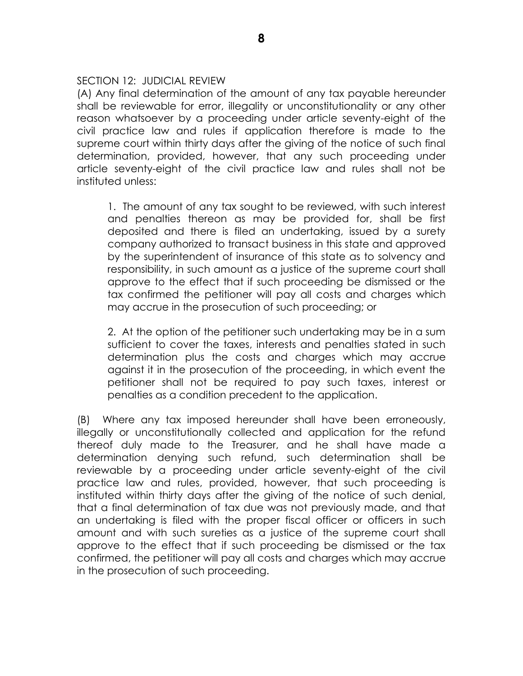### SECTION 12: JUDICIAL REVIEW

(A) Any final determination of the amount of any tax payable hereunder shall be reviewable for error, illegality or unconstitutionality or any other reason whatsoever by a proceeding under article seventy-eight of the civil practice law and rules if application therefore is made to the supreme court within thirty days after the giving of the notice of such final determination, provided, however, that any such proceeding under article seventy-eight of the civil practice law and rules shall not be instituted unless:

1. The amount of any tax sought to be reviewed, with such interest and penalties thereon as may be provided for, shall be first deposited and there is filed an undertaking, issued by a surety company authorized to transact business in this state and approved by the superintendent of insurance of this state as to solvency and responsibility, in such amount as a justice of the supreme court shall approve to the effect that if such proceeding be dismissed or the tax confirmed the petitioner will pay all costs and charges which may accrue in the prosecution of such proceeding; or

2. At the option of the petitioner such undertaking may be in a sum sufficient to cover the taxes, interests and penalties stated in such determination plus the costs and charges which may accrue against it in the prosecution of the proceeding, in which event the petitioner shall not be required to pay such taxes, interest or penalties as a condition precedent to the application.

(B) Where any tax imposed hereunder shall have been erroneously, illegally or unconstitutionally collected and application for the refund thereof duly made to the Treasurer, and he shall have made a determination denying such refund, such determination shall be reviewable by a proceeding under article seventy-eight of the civil practice law and rules, provided, however, that such proceeding is instituted within thirty days after the giving of the notice of such denial, that a final determination of tax due was not previously made, and that an undertaking is filed with the proper fiscal officer or officers in such amount and with such sureties as a justice of the supreme court shall approve to the effect that if such proceeding be dismissed or the tax confirmed, the petitioner will pay all costs and charges which may accrue in the prosecution of such proceeding.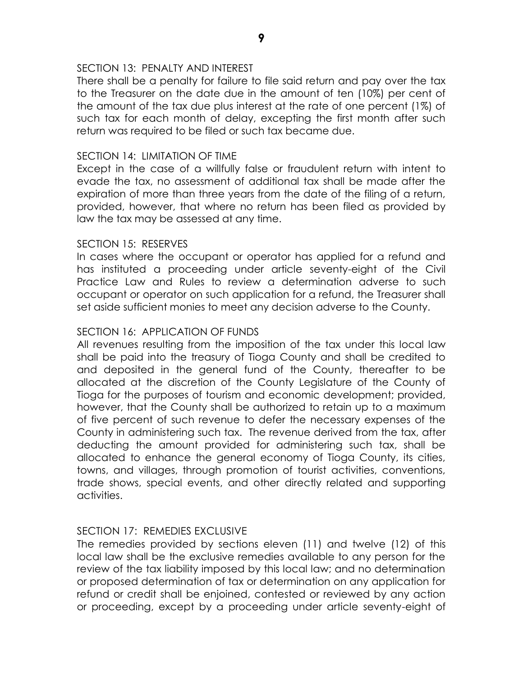### SECTION 13: PENALTY AND INTEREST

There shall be a penalty for failure to file said return and pay over the tax to the Treasurer on the date due in the amount of ten (10%) per cent of the amount of the tax due plus interest at the rate of one percent (1%) of such tax for each month of delay, excepting the first month after such return was required to be filed or such tax became due.

# SECTION 14: LIMITATION OF TIME

Except in the case of a willfully false or fraudulent return with intent to evade the tax, no assessment of additional tax shall be made after the expiration of more than three years from the date of the filing of a return, provided, however, that where no return has been filed as provided by law the tax may be assessed at any time.

## SECTION 15: RESERVES

In cases where the occupant or operator has applied for a refund and has instituted a proceeding under article seventy-eight of the Civil Practice Law and Rules to review a determination adverse to such occupant or operator on such application for a refund, the Treasurer shall set aside sufficient monies to meet any decision adverse to the County.

## SECTION 16: APPLICATION OF FUNDS

All revenues resulting from the imposition of the tax under this local law shall be paid into the treasury of Tioga County and shall be credited to and deposited in the general fund of the County, thereafter to be allocated at the discretion of the County Legislature of the County of Tioga for the purposes of tourism and economic development; provided, however, that the County shall be authorized to retain up to a maximum of five percent of such revenue to defer the necessary expenses of the County in administering such tax. The revenue derived from the tax, after deducting the amount provided for administering such tax, shall be allocated to enhance the general economy of Tioga County, its cities, towns, and villages, through promotion of tourist activities, conventions, trade shows, special events, and other directly related and supporting activities.

### SECTION 17: REMEDIES EXCLUSIVE

The remedies provided by sections eleven (11) and twelve (12) of this local law shall be the exclusive remedies available to any person for the review of the tax liability imposed by this local law; and no determination or proposed determination of tax or determination on any application for refund or credit shall be enjoined, contested or reviewed by any action or proceeding, except by a proceeding under article seventy-eight of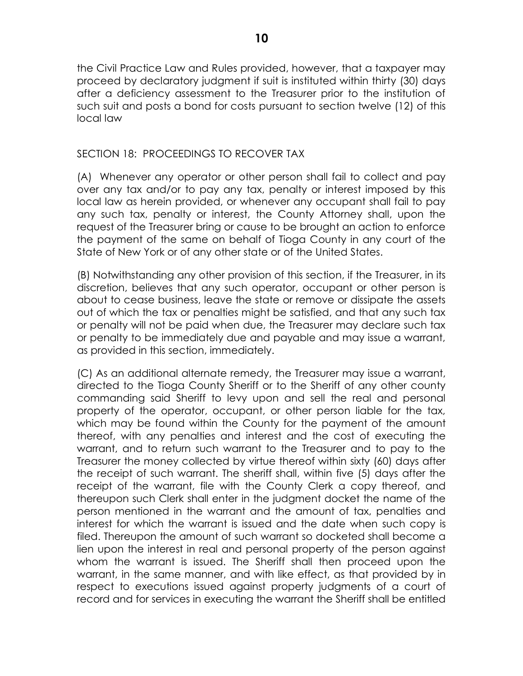the Civil Practice Law and Rules provided, however, that a taxpayer may proceed by declaratory judgment if suit is instituted within thirty (30) days after a deficiency assessment to the Treasurer prior to the institution of such suit and posts a bond for costs pursuant to section twelve (12) of this local law

# SECTION 18: PROCEEDINGS TO RECOVER TAX

(A) Whenever any operator or other person shall fail to collect and pay over any tax and/or to pay any tax, penalty or interest imposed by this local law as herein provided, or whenever any occupant shall fail to pay any such tax, penalty or interest, the County Attorney shall, upon the request of the Treasurer bring or cause to be brought an action to enforce the payment of the same on behalf of Tioga County in any court of the State of New York or of any other state or of the United States.

(B) Notwithstanding any other provision of this section, if the Treasurer, in its discretion, believes that any such operator, occupant or other person is about to cease business, leave the state or remove or dissipate the assets out of which the tax or penalties might be satisfied, and that any such tax or penalty will not be paid when due, the Treasurer may declare such tax or penalty to be immediately due and payable and may issue a warrant, as provided in this section, immediately.

(C) As an additional alternate remedy, the Treasurer may issue a warrant, directed to the Tioga County Sheriff or to the Sheriff of any other county commanding said Sheriff to levy upon and sell the real and personal property of the operator, occupant, or other person liable for the tax, which may be found within the County for the payment of the amount thereof, with any penalties and interest and the cost of executing the warrant, and to return such warrant to the Treasurer and to pay to the Treasurer the money collected by virtue thereof within sixty (60) days after the receipt of such warrant. The sheriff shall, within five (5) days after the receipt of the warrant, file with the County Clerk a copy thereof, and thereupon such Clerk shall enter in the judgment docket the name of the person mentioned in the warrant and the amount of tax, penalties and interest for which the warrant is issued and the date when such copy is filed. Thereupon the amount of such warrant so docketed shall become a lien upon the interest in real and personal property of the person against whom the warrant is issued. The Sheriff shall then proceed upon the warrant, in the same manner, and with like effect, as that provided by in respect to executions issued against property judgments of a court of record and for services in executing the warrant the Sheriff shall be entitled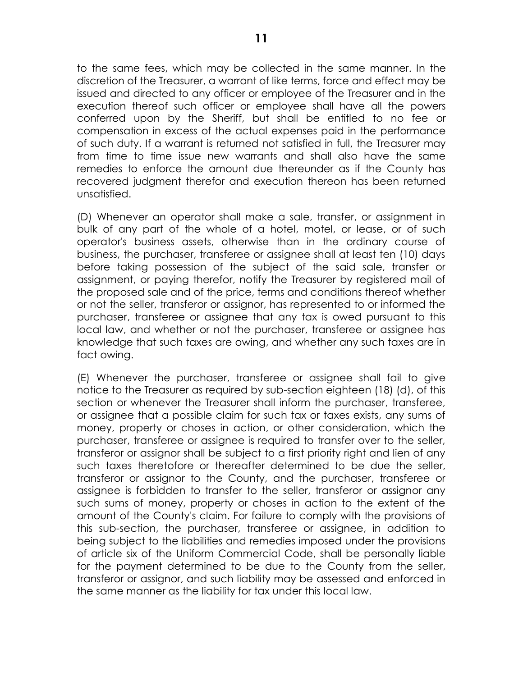to the same fees, which may be collected in the same manner. In the discretion of the Treasurer, a warrant of like terms, force and effect may be issued and directed to any officer or employee of the Treasurer and in the execution thereof such officer or employee shall have all the powers conferred upon by the Sheriff, but shall be entitled to no fee or compensation in excess of the actual expenses paid in the performance of such duty. If a warrant is returned not satisfied in full, the Treasurer may from time to time issue new warrants and shall also have the same remedies to enforce the amount due thereunder as if the County has recovered judgment therefor and execution thereon has been returned unsatisfied.

(D) Whenever an operator shall make a sale, transfer, or assignment in bulk of any part of the whole of a hotel, motel, or lease, or of such operator's business assets, otherwise than in the ordinary course of business, the purchaser, transferee or assignee shall at least ten (10) days before taking possession of the subject of the said sale, transfer or assignment, or paying therefor, notify the Treasurer by registered mail of the proposed sale and of the price, terms and conditions thereof whether or not the seller, transferor or assignor, has represented to or informed the purchaser, transferee or assignee that any tax is owed pursuant to this local law, and whether or not the purchaser, transferee or assignee has knowledge that such taxes are owing, and whether any such taxes are in fact owing.

(E) Whenever the purchaser, transferee or assignee shall fail to give notice to the Treasurer as required by sub-section eighteen (18) (d), of this section or whenever the Treasurer shall inform the purchaser, transferee, or assignee that a possible claim for such tax or taxes exists, any sums of money, property or choses in action, or other consideration, which the purchaser, transferee or assignee is required to transfer over to the seller, transferor or assignor shall be subject to a first priority right and lien of any such taxes theretofore or thereafter determined to be due the seller, transferor or assignor to the County, and the purchaser, transferee or assignee is forbidden to transfer to the seller, transferor or assignor any such sums of money, property or choses in action to the extent of the amount of the County's claim. For failure to comply with the provisions of this sub-section, the purchaser, transferee or assignee, in addition to being subject to the liabilities and remedies imposed under the provisions of article six of the Uniform Commercial Code, shall be personally liable for the payment determined to be due to the County from the seller, transferor or assignor, and such liability may be assessed and enforced in the same manner as the liability for tax under this local law.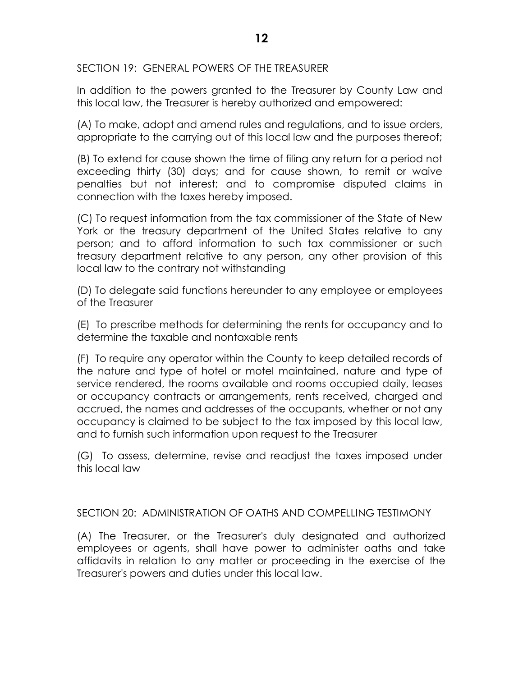SECTION 19: GENERAL POWERS OF THE TREASURER

In addition to the powers granted to the Treasurer by County Law and this local law, the Treasurer is hereby authorized and empowered:

(A) To make, adopt and amend rules and regulations, and to issue orders, appropriate to the carrying out of this local law and the purposes thereof;

(B) To extend for cause shown the time of filing any return for a period not exceeding thirty (30) days; and for cause shown, to remit or waive penalties but not interest; and to compromise disputed claims in connection with the taxes hereby imposed.

(C) To request information from the tax commissioner of the State of New York or the treasury department of the United States relative to any person; and to afford information to such tax commissioner or such treasury department relative to any person, any other provision of this local law to the contrary not withstanding

(D) To delegate said functions hereunder to any employee or employees of the Treasurer

(E) To prescribe methods for determining the rents for occupancy and to determine the taxable and nontaxable rents

(F) To require any operator within the County to keep detailed records of the nature and type of hotel or motel maintained, nature and type of service rendered, the rooms available and rooms occupied daily, leases or occupancy contracts or arrangements, rents received, charged and accrued, the names and addresses of the occupants, whether or not any occupancy is claimed to be subject to the tax imposed by this local law, and to furnish such information upon request to the Treasurer

(G) To assess, determine, revise and readjust the taxes imposed under this local law

SECTION 20: ADMINISTRATION OF OATHS AND COMPELLING TESTIMONY

(A) The Treasurer, or the Treasurer's duly designated and authorized employees or agents, shall have power to administer oaths and take affidavits in relation to any matter or proceeding in the exercise of the Treasurer's powers and duties under this local law.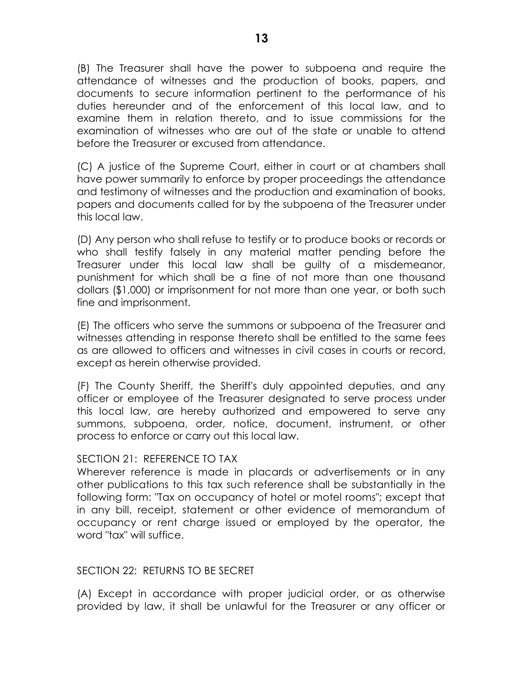(B) The Treasurer shall have the power to subpoena and require the attendance of witnesses and the production of books, papers, and documents to secure information pertinent to the performance of his duties hereunder and of the enforcement of this local law, and to examine them in relation thereto, and to issue commissions for the examination of witnesses who are out of the state or unable to attend before the Treasurer or excused from attendance.

(C) A justice of the Supreme Court, either in court or at chambers shall have power summarily to enforce by proper proceedings the attendance and testimony of witnesses and the production and examination of books, papers and documents called for by the subpoena of the Treasurer under this local law.

(D) Any person who shall refuse to testify or to produce books or records or who shall testify falsely in any material matter pending before the Treasurer under this local law shall be guilty of a misdemeanor, punishment for which shall be a fine of not more than one thousand dollars (\$1,000) or imprisonment for not more than one year, or both such fine and imprisonment.

(E) The officers who serve the summons or subpoena of the Treasurer and witnesses attending in response thereto shall be entitled to the same fees as are allowed to officers and witnesses in civil cases in courts or record, except as herein otherwise provided.

(F) The County Sheriff, the Sheriff's duly appointed deputies, and any officer or employee of the Treasurer designated to serve process under this local law, are hereby authorized and empowered to serve any summons, subpoena, order, notice, document, instrument, or other process to enforce or carry out this local law.

### SECTION 21: REFERENCE TO TAX

Wherever reference is made in placards or advertisements or in any other publications to this tax such reference shall be substantially in the following form: "Tax on occupancy of hotel or motel rooms"; except that in any bill, receipt, statement or other evidence of memorandum of occupancy or rent charge issued or employed by the operator, the word "tax" will suffice.

# SECTION 22: RETURNS TO BE SECRET

(A) Except in accordance with proper judicial order, or as otherwise provided by law, it shall be unlawful for the Treasurer or any officer or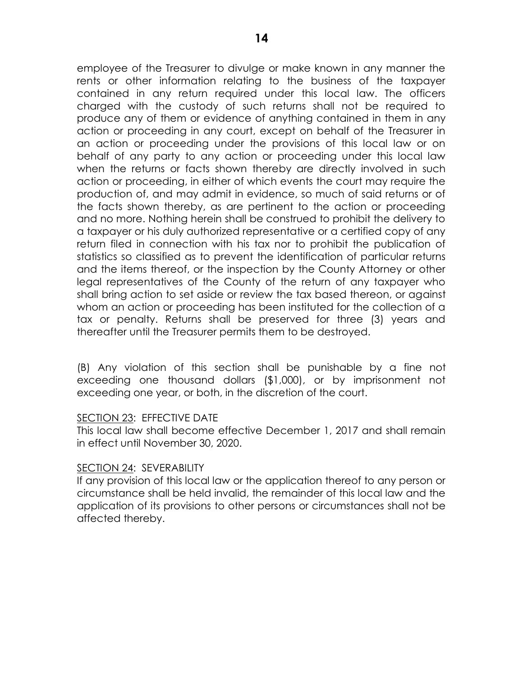employee of the Treasurer to divulge or make known in any manner the rents or other information relating to the business of the taxpayer contained in any return required under this local law. The officers charged with the custody of such returns shall not be required to produce any of them or evidence of anything contained in them in any action or proceeding in any court, except on behalf of the Treasurer in an action or proceeding under the provisions of this local law or on behalf of any party to any action or proceeding under this local law when the returns or facts shown thereby are directly involved in such action or proceeding, in either of which events the court may require the production of, and may admit in evidence, so much of said returns or of the facts shown thereby, as are pertinent to the action or proceeding and no more. Nothing herein shall be construed to prohibit the delivery to a taxpayer or his duly authorized representative or a certified copy of any return filed in connection with his tax nor to prohibit the publication of statistics so classified as to prevent the identification of particular returns and the items thereof, or the inspection by the County Attorney or other legal representatives of the County of the return of any taxpayer who shall bring action to set aside or review the tax based thereon, or against whom an action or proceeding has been instituted for the collection of a tax or penalty. Returns shall be preserved for three (3) years and thereafter until the Treasurer permits them to be destroyed.

(B) Any violation of this section shall be punishable by a fine not exceeding one thousand dollars (\$1,000), or by imprisonment not exceeding one year, or both, in the discretion of the court.

### SECTION 23: EFFECTIVE DATE

This local law shall become effective December 1, 2017 and shall remain in effect until November 30, 2020.

### SECTION 24: SEVERABILITY

If any provision of this local law or the application thereof to any person or circumstance shall be held invalid, the remainder of this local law and the application of its provisions to other persons or circumstances shall not be affected thereby.